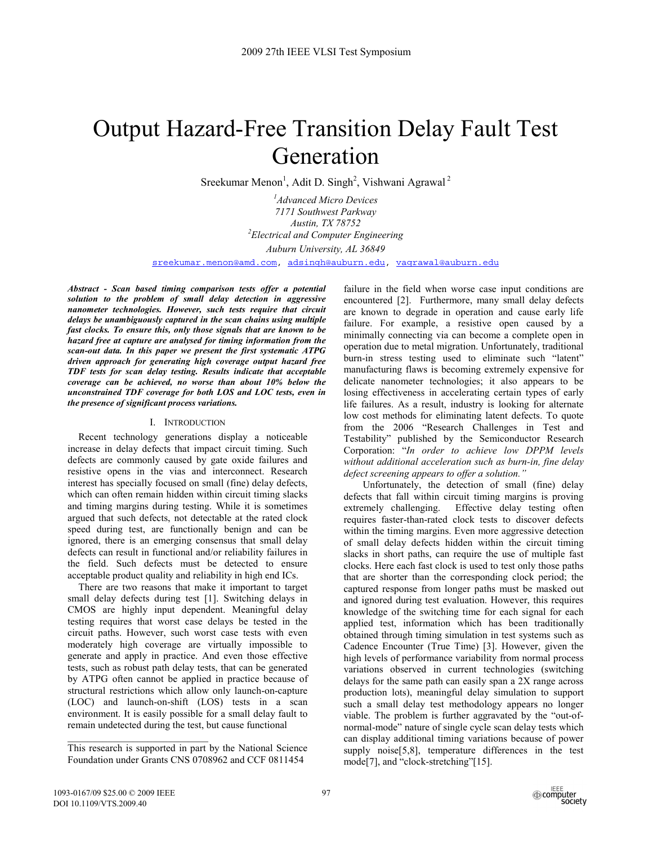# Output Hazard-Free Transition Delay Fault Test Generation

Sreekumar Menon<sup>1</sup>, Adit D. Singh<sup>2</sup>, Vishwani Agrawal<sup>2</sup>

*1 Advanced Micro Devices 7171 Southwest Parkway Austin, TX 78752 2 Electrical and Computer Engineering Auburn University, AL 36849*  sreekumar.menon@amd.com, adsingh@auburn.edu, vagrawal@auburn.edu

*Abstract - Scan based timing comparison tests offer a potential solution to the problem of small delay detection in aggressive nanometer technologies. However, such tests require that circuit delays be unambiguously captured in the scan chains using multiple fast clocks. To ensure this, only those signals that are known to be hazard free at capture are analysed for timing information from the scan-out data. In this paper we present the first systematic ATPG driven approach for generating high coverage output hazard free TDF tests for scan delay testing. Results indicate that acceptable coverage can be achieved, no worse than about 10% below the unconstrained TDF coverage for both LOS and LOC tests, even in the presence of significant process variations.* 

## I. INTRODUCTION

Recent technology generations display a noticeable increase in delay defects that impact circuit timing. Such defects are commonly caused by gate oxide failures and resistive opens in the vias and interconnect. Research interest has specially focused on small (fine) delay defects, which can often remain hidden within circuit timing slacks and timing margins during testing. While it is sometimes argued that such defects, not detectable at the rated clock speed during test, are functionally benign and can be ignored, there is an emerging consensus that small delay defects can result in functional and/or reliability failures in the field. Such defects must be detected to ensure acceptable product quality and reliability in high end ICs.

There are two reasons that make it important to target small delay defects during test [1]. Switching delays in CMOS are highly input dependent. Meaningful delay testing requires that worst case delays be tested in the circuit paths. However, such worst case tests with even moderately high coverage are virtually impossible to generate and apply in practice. And even those effective tests, such as robust path delay tests, that can be generated by ATPG often cannot be applied in practice because of structural restrictions which allow only launch-on-capture (LOC) and launch-on-shift (LOS) tests in a scan environment. It is easily possible for a small delay fault to remain undetected during the test, but cause functional

failure in the field when worse case input conditions are encountered [2]. Furthermore, many small delay defects are known to degrade in operation and cause early life failure. For example, a resistive open caused by a minimally connecting via can become a complete open in operation due to metal migration. Unfortunately, traditional burn-in stress testing used to eliminate such "latent" manufacturing flaws is becoming extremely expensive for delicate nanometer technologies; it also appears to be losing effectiveness in accelerating certain types of early life failures. As a result, industry is looking for alternate low cost methods for eliminating latent defects. To quote from the 2006 "Research Challenges in Test and Testability" published by the Semiconductor Research Corporation: "*In order to achieve low DPPM levels without additional acceleration such as burn-in, fine delay defect screening appears to offer a solution."*

Unfortunately, the detection of small (fine) delay defects that fall within circuit timing margins is proving<br>extremely challenging. Effective delay testing often Effective delay testing often requires faster-than-rated clock tests to discover defects within the timing margins. Even more aggressive detection of small delay defects hidden within the circuit timing slacks in short paths, can require the use of multiple fast clocks. Here each fast clock is used to test only those paths that are shorter than the corresponding clock period; the captured response from longer paths must be masked out and ignored during test evaluation. However, this requires knowledge of the switching time for each signal for each applied test, information which has been traditionally obtained through timing simulation in test systems such as Cadence Encounter (True Time) [3]. However, given the high levels of performance variability from normal process variations observed in current technologies (switching delays for the same path can easily span a 2X range across production lots), meaningful delay simulation to support such a small delay test methodology appears no longer viable. The problem is further aggravated by the "out-ofnormal-mode" nature of single cycle scan delay tests which can display additional timing variations because of power supply noise[5,8], temperature differences in the test mode[7], and "clock-stretching"[15].

This research is supported in part by the National Science Foundation under Grants CNS 0708962 and CCF 0811454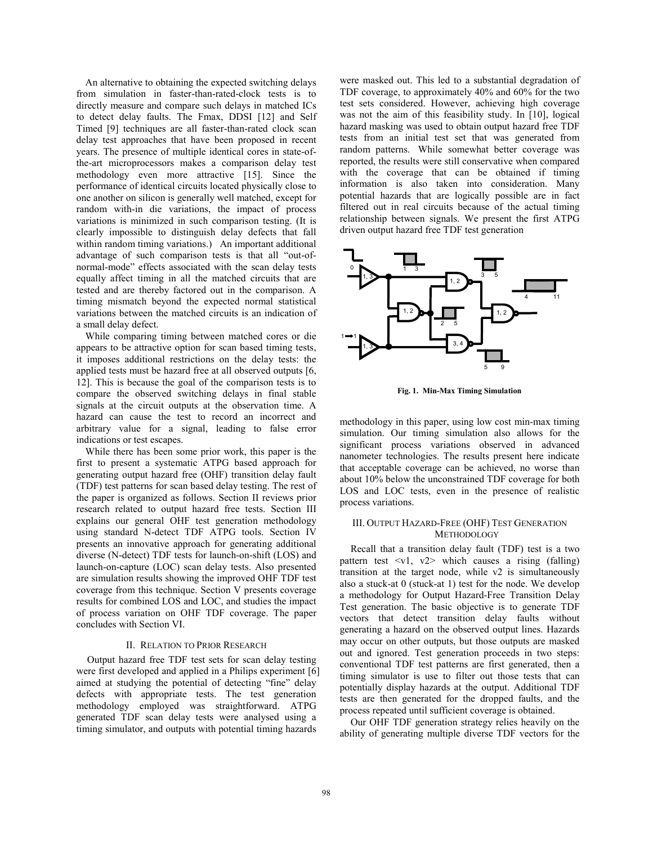An alternative to obtaining the expected switching delays from simulation in faster-than-rated-clock tests is to directly measure and compare such delays in matched ICs to detect delay faults. The Fmax, DDSI [12] and Self Timed [9] techniques are all faster-than-rated clock scan delay test approaches that have been proposed in recent years. The presence of multiple identical cores in state-ofthe-art microprocessors makes a comparison delay test methodology even more attractive [15]. Since the performance of identical circuits located physically close to one another on silicon is generally well matched, except for random with-in die variations, the impact of process variations is minimized in such comparison testing. (It is clearly impossible to distinguish delay defects that fall within random timing variations.) An important additional advantage of such comparison tests is that all "out-ofnormal-mode" effects associated with the scan delay tests equally affect timing in all the matched circuits that are tested and are thereby factored out in the comparison. A timing mismatch beyond the expected normal statistical variations between the matched circuits is an indication of a small delay defect.

While comparing timing between matched cores or die appears to be attractive option for scan based timing tests, it imposes additional restrictions on the delay tests: the applied tests must be hazard free at all observed outputs [6, 12]. This is because the goal of the comparison tests is to compare the observed switching delays in final stable signals at the circuit outputs at the observation time. A hazard can cause the test to record an incorrect and arbitrary value for a signal, leading to false error indications or test escapes.

While there has been some prior work, this paper is the first to present a systematic ATPG based approach for generating output hazard free (OHF) transition delay fault (TDF) test patterns for scan based delay testing. The rest of the paper is organized as follows. Section II reviews prior research related to output hazard free tests. Section III explains our general OHF test generation methodology using standard N-detect TDF ATPG tools. Section IV presents an innovative approach for generating additional diverse (N-detect) TDF tests for launch-on-shift (LOS) and launch-on-capture (LOC) scan delay tests. Also presented are simulation results showing the improved OHF TDF test coverage from this technique. Section V presents coverage results for combined LOS and LOC, and studies the impact of process variation on OHF TDF coverage. The paper concludes with Section VI.

## II. RELATION TO PRIOR RESEARCH

Output hazard free TDF test sets for scan delay testing were first developed and applied in a Philips experiment [6] aimed at studying the potential of detecting "fine" delay defects with appropriate tests. The test generation methodology employed was straightforward. ATPG generated TDF scan delay tests were analysed using a timing simulator, and outputs with potential timing hazards

were masked out. This led to a substantial degradation of TDF coverage, to approximately 40% and 60% for the two test sets considered. However, achieving high coverage was not the aim of this feasibility study. In [10], logical hazard masking was used to obtain output hazard free TDF tests from an initial test set that was generated from random patterns. While somewhat better coverage was reported, the results were still conservative when compared with the coverage that can be obtained if timing information is also taken into consideration. Many potential hazards that are logically possible are in fact filtered out in real circuits because of the actual timing relationship between signals. We present the first ATPG driven output hazard free TDF test generation



**Fig. 1. Min-Max Timing Simulation** 

methodology in this paper, using low cost min-max timing simulation. Our timing simulation also allows for the significant process variations observed in advanced nanometer technologies. The results present here indicate that acceptable coverage can be achieved, no worse than about 10% below the unconstrained TDF coverage for both LOS and LOC tests, even in the presence of realistic process variations.

## III. OUTPUT HAZARD-FREE (OHF) TEST GENERATION METHODOLOGY

Recall that a transition delay fault (TDF) test is a two pattern test  $\langle v_1, v_2 \rangle$  which causes a rising (falling) transition at the target node, while v2 is simultaneously also a stuck-at 0 (stuck-at 1) test for the node. We develop a methodology for Output Hazard-Free Transition Delay Test generation. The basic objective is to generate TDF vectors that detect transition delay faults without generating a hazard on the observed output lines. Hazards may occur on other outputs, but those outputs are masked out and ignored. Test generation proceeds in two steps: conventional TDF test patterns are first generated, then a timing simulator is use to filter out those tests that can potentially display hazards at the output. Additional TDF tests are then generated for the dropped faults, and the process repeated until sufficient coverage is obtained.

Our OHF TDF generation strategy relies heavily on the ability of generating multiple diverse TDF vectors for the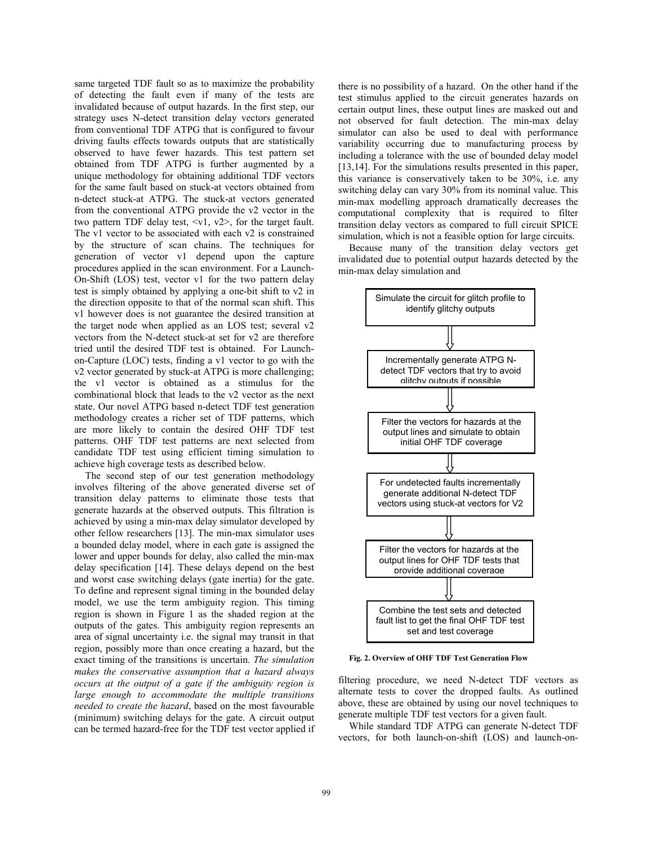same targeted TDF fault so as to maximize the probability of detecting the fault even if many of the tests are invalidated because of output hazards. In the first step, our strategy uses N-detect transition delay vectors generated from conventional TDF ATPG that is configured to favour driving faults effects towards outputs that are statistically observed to have fewer hazards. This test pattern set obtained from TDF ATPG is further augmented by a unique methodology for obtaining additional TDF vectors for the same fault based on stuck-at vectors obtained from n-detect stuck-at ATPG. The stuck-at vectors generated from the conventional ATPG provide the v2 vector in the two pattern TDF delay test,  $\langle v_1, v_2 \rangle$ , for the target fault. The v1 vector to be associated with each v2 is constrained by the structure of scan chains. The techniques for generation of vector v1 depend upon the capture procedures applied in the scan environment. For a Launch-On-Shift (LOS) test, vector v1 for the two pattern delay test is simply obtained by applying a one-bit shift to v2 in the direction opposite to that of the normal scan shift. This v1 however does is not guarantee the desired transition at the target node when applied as an LOS test; several v2 vectors from the N-detect stuck-at set for v2 are therefore tried until the desired TDF test is obtained. For Launchon-Capture (LOC) tests, finding a v1 vector to go with the v2 vector generated by stuck-at ATPG is more challenging; the v1 vector is obtained as a stimulus for the combinational block that leads to the v2 vector as the next state. Our novel ATPG based n-detect TDF test generation methodology creates a richer set of TDF patterns, which are more likely to contain the desired OHF TDF test patterns. OHF TDF test patterns are next selected from candidate TDF test using efficient timing simulation to achieve high coverage tests as described below.

The second step of our test generation methodology involves filtering of the above generated diverse set of transition delay patterns to eliminate those tests that generate hazards at the observed outputs. This filtration is achieved by using a min-max delay simulator developed by other fellow researchers [13]. The min-max simulator uses a bounded delay model, where in each gate is assigned the lower and upper bounds for delay, also called the min-max delay specification [14]. These delays depend on the best and worst case switching delays (gate inertia) for the gate. To define and represent signal timing in the bounded delay model, we use the term ambiguity region. This timing region is shown in Figure 1 as the shaded region at the outputs of the gates. This ambiguity region represents an area of signal uncertainty i.e. the signal may transit in that region, possibly more than once creating a hazard, but the exact timing of the transitions is uncertain. *The simulation makes the conservative assumption that a hazard always occurs at the output of a gate if the ambiguity region is large enough to accommodate the multiple transitions needed to create the hazard*, based on the most favourable (minimum) switching delays for the gate. A circuit output can be termed hazard-free for the TDF test vector applied if there is no possibility of a hazard. On the other hand if the test stimulus applied to the circuit generates hazards on certain output lines, these output lines are masked out and not observed for fault detection. The min-max delay simulator can also be used to deal with performance variability occurring due to manufacturing process by including a tolerance with the use of bounded delay model [13,14]. For the simulations results presented in this paper, this variance is conservatively taken to be 30%, i.e. any switching delay can vary 30% from its nominal value. This min-max modelling approach dramatically decreases the computational complexity that is required to filter transition delay vectors as compared to full circuit SPICE simulation, which is not a feasible option for large circuits.

Because many of the transition delay vectors get invalidated due to potential output hazards detected by the min-max delay simulation and



**Fig. 2. Overview of OHF TDF Test Generation Flow**

filtering procedure, we need N-detect TDF vectors as alternate tests to cover the dropped faults. As outlined above, these are obtained by using our novel techniques to generate multiple TDF test vectors for a given fault.

While standard TDF ATPG can generate N-detect TDF vectors, for both launch-on-shift (LOS) and launch-on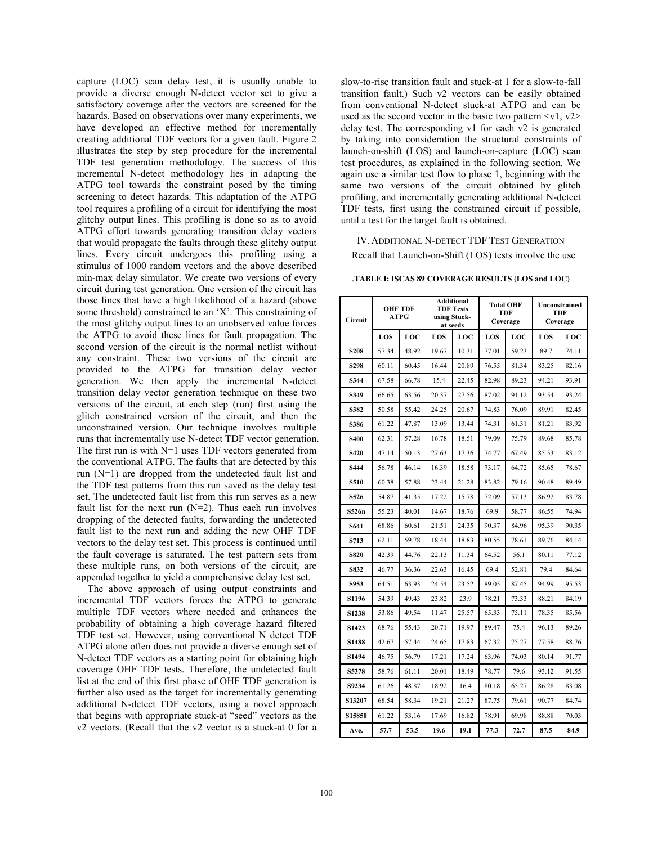capture (LOC) scan delay test, it is usually unable to provide a diverse enough N-detect vector set to give a satisfactory coverage after the vectors are screened for the hazards. Based on observations over many experiments, we have developed an effective method for incrementally creating additional TDF vectors for a given fault. Figure 2 illustrates the step by step procedure for the incremental TDF test generation methodology. The success of this incremental N-detect methodology lies in adapting the ATPG tool towards the constraint posed by the timing screening to detect hazards. This adaptation of the ATPG tool requires a profiling of a circuit for identifying the most glitchy output lines. This profiling is done so as to avoid ATPG effort towards generating transition delay vectors that would propagate the faults through these glitchy output lines. Every circuit undergoes this profiling using a stimulus of 1000 random vectors and the above described min-max delay simulator. We create two versions of every circuit during test generation. One version of the circuit has those lines that have a high likelihood of a hazard (above some threshold) constrained to an 'X'. This constraining of the most glitchy output lines to an unobserved value forces the ATPG to avoid these lines for fault propagation. The second version of the circuit is the normal netlist without any constraint. These two versions of the circuit are provided to the ATPG for transition delay vector generation. We then apply the incremental N-detect transition delay vector generation technique on these two versions of the circuit, at each step (run) first using the glitch constrained version of the circuit, and then the unconstrained version. Our technique involves multiple runs that incrementally use N-detect TDF vector generation. The first run is with N=1 uses TDF vectors generated from the conventional ATPG. The faults that are detected by this run (N=1) are dropped from the undetected fault list and the TDF test patterns from this run saved as the delay test set. The undetected fault list from this run serves as a new fault list for the next run  $(N=2)$ . Thus each run involves dropping of the detected faults, forwarding the undetected fault list to the next run and adding the new OHF TDF vectors to the delay test set. This process is continued until the fault coverage is saturated. The test pattern sets from these multiple runs, on both versions of the circuit, are appended together to yield a comprehensive delay test set.

The above approach of using output constraints and incremental TDF vectors forces the ATPG to generate multiple TDF vectors where needed and enhances the probability of obtaining a high coverage hazard filtered TDF test set. However, using conventional N detect TDF ATPG alone often does not provide a diverse enough set of N-detect TDF vectors as a starting point for obtaining high coverage OHF TDF tests. Therefore, the undetected fault list at the end of this first phase of OHF TDF generation is further also used as the target for incrementally generating additional N-detect TDF vectors, using a novel approach that begins with appropriate stuck-at "seed" vectors as the v2 vectors. (Recall that the v2 vector is a stuck-at 0 for a

slow-to-rise transition fault and stuck-at 1 for a slow-to-fall transition fault.) Such v2 vectors can be easily obtained from conventional N-detect stuck-at ATPG and can be used as the second vector in the basic two pattern  $\langle v1, v2 \rangle$ delay test. The corresponding v1 for each v2 is generated by taking into consideration the structural constraints of launch-on-shift (LOS) and launch-on-capture (LOC) scan test procedures, as explained in the following section. We again use a similar test flow to phase 1, beginning with the same two versions of the circuit obtained by glitch profiling, and incrementally generating additional N-detect TDF tests, first using the constrained circuit if possible, until a test for the target fault is obtained.

IV.ADDITIONAL N-DETECT TDF TEST GENERATION Recall that Launch-on-Shift (LOS) tests involve the use

.**TABLE I: ISCAS 89 COVERAGE RESULTS (LOS and LOC)** 

| Circuit          | <b>OHF TDF</b><br>ATPG |       | Additional<br><b>TDF Tests</b><br>using Stuck-<br>at seeds |       | <b>Total OHF</b><br>TDF<br>Coverage |       | Unconstrained<br>TDF<br>Coverage |       |
|------------------|------------------------|-------|------------------------------------------------------------|-------|-------------------------------------|-------|----------------------------------|-------|
|                  | LOS                    | LOC   | LOS                                                        | LOC   | LOS                                 | LOC   | LOS                              | LOC   |
| S <sub>208</sub> | 57.34                  | 48.92 | 19.67                                                      | 10.31 | 77.01                               | 59.23 | 89.7                             | 74.11 |
| S298             | 60.11                  | 60.45 | 16.44                                                      | 20.89 | 76.55                               | 81.34 | 83.25                            | 82.16 |
| S344             | 67.58                  | 66.78 | 15.4                                                       | 22.45 | 82.98                               | 89.23 | 94.21                            | 93.91 |
| S349             | 66.65                  | 63.56 | 20.37                                                      | 27.56 | 87.02                               | 91.12 | 93.54                            | 93.24 |
| S382             | 50.58                  | 55.42 | 24.25                                                      | 20.67 | 74.83                               | 76.09 | 89.91                            | 82.45 |
| <b>S386</b>      | 61.22                  | 47.87 | 13.09                                                      | 13.44 | 74.31                               | 61.31 | 81.21                            | 83.92 |
| <b>S400</b>      | 62.31                  | 57.28 | 16.78                                                      | 18.51 | 79.09                               | 75.79 | 89.68                            | 85.78 |
| S420             | 47.14                  | 50.13 | 27.63                                                      | 17.36 | 74.77                               | 67.49 | 85.53                            | 83.12 |
| S444             | 56.78                  | 46.14 | 16.39                                                      | 18.58 | 73.17                               | 64.72 | 85.65                            | 78.67 |
| S510             | 60.38                  | 57.88 | 23.44                                                      | 21.28 | 83.82                               | 79.16 | 90.48                            | 89.49 |
| S526             | 54.87                  | 41.35 | 17.22                                                      | 15.78 | 72.09                               | 57.13 | 86.92                            | 83.78 |
| S526n            | 55.23                  | 40.01 | 14.67                                                      | 18.76 | 69.9                                | 58.77 | 86.55                            | 74.94 |
| S641             | 68.86                  | 60.61 | 21.51                                                      | 24.35 | 90.37                               | 84.96 | 95.39                            | 90.35 |
| <b>S713</b>      | 62.11                  | 59.78 | 18.44                                                      | 18.83 | 80.55                               | 78.61 | 89.76                            | 84.14 |
| <b>S820</b>      | 42.39                  | 44.76 | 22.13                                                      | 11.34 | 64.52                               | 56.1  | 80.11                            | 77.12 |
| S832             | 46.77                  | 36.36 | 22.63                                                      | 16.45 | 69.4                                | 52.81 | 79.4                             | 84.64 |
| S953             | 64.51                  | 63.93 | 24.54                                                      | 23.52 | 89.05                               | 87.45 | 94.99                            | 95.53 |
| S1196            | 54.39                  | 49.43 | 23.82                                                      | 23.9  | 78.21                               | 73.33 | 88.21                            | 84.19 |
| S1238            | 53.86                  | 49.54 | 11.47                                                      | 25.57 | 65.33                               | 75.11 | 78.35                            | 85.56 |
| S1423            | 68.76                  | 55.43 | 20.71                                                      | 19.97 | 89.47                               | 75.4  | 96.13                            | 89.26 |
| S1488            | 42.67                  | 57.44 | 24.65                                                      | 17.83 | 67.32                               | 75.27 | 77.58                            | 88.76 |
| S1494            | 46.75                  | 56.79 | 17.21                                                      | 17.24 | 63.96                               | 74.03 | 80.14                            | 91.77 |
| S5378            | 58.76                  | 61.11 | 20.01                                                      | 18.49 | 78.77                               | 79.6  | 93.12                            | 91.55 |
| S9234            | 61.26                  | 48.87 | 18.92                                                      | 164   | 80.18                               | 65.27 | 86.28                            | 83.08 |
| S13207           | 68.54                  | 58.34 | 19.21                                                      | 21.27 | 87.75                               | 79.61 | 90.77                            | 84.74 |
| S15850           | 61.22                  | 53.16 | 17.69                                                      | 16.82 | 78.91                               | 69.98 | 88.88                            | 70.03 |
| Ave.             | 57.7                   | 53.5  | 19.6                                                       | 19.1  | 77.3                                | 72.7  | 87.5                             | 84.9  |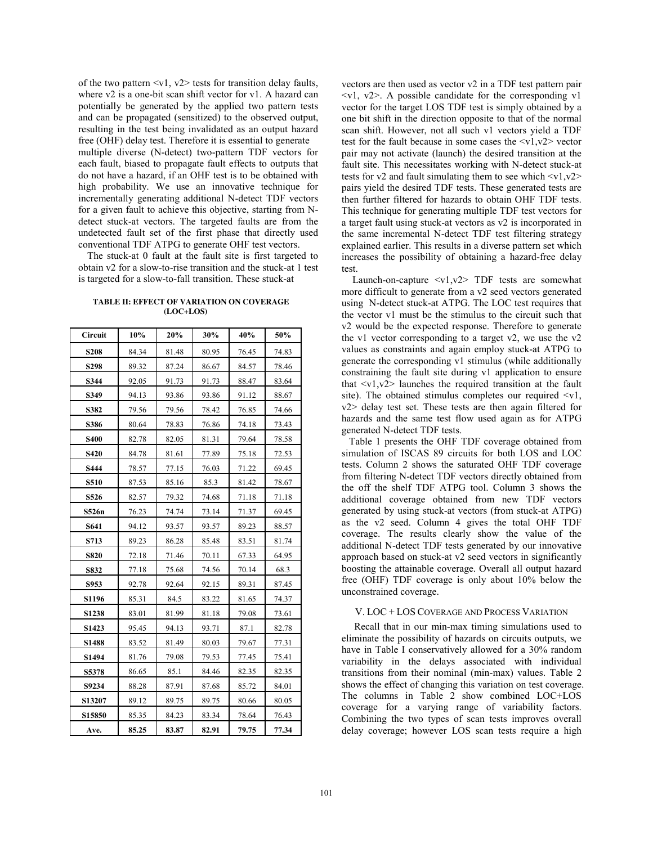of the two pattern  $\langle v_1, v_2 \rangle$  tests for transition delay faults, where v2 is a one-bit scan shift vector for v1. A hazard can potentially be generated by the applied two pattern tests and can be propagated (sensitized) to the observed output, resulting in the test being invalidated as an output hazard free (OHF) delay test. Therefore it is essential to generate multiple diverse (N-detect) two-pattern TDF vectors for each fault, biased to propagate fault effects to outputs that do not have a hazard, if an OHF test is to be obtained with high probability. We use an innovative technique for incrementally generating additional N-detect TDF vectors for a given fault to achieve this objective, starting from Ndetect stuck-at vectors. The targeted faults are from the undetected fault set of the first phase that directly used conventional TDF ATPG to generate OHF test vectors.

The stuck-at 0 fault at the fault site is first targeted to obtain v2 for a slow-to-rise transition and the stuck-at 1 test is targeted for a slow-to-fall transition. These stuck-at

### **TABLE II: EFFECT OF VARIATION ON COVERAGE (LOC+LOS)**

| Circuit     | 10%   | 20%   | 30%   | 40%   | 50%   |
|-------------|-------|-------|-------|-------|-------|
| <b>S208</b> | 84.34 | 81.48 | 80.95 | 76.45 | 74.83 |
| S298        | 89.32 | 87.24 | 86.67 | 84.57 | 78.46 |
| S344        | 92.05 | 91.73 | 91.73 | 88.47 | 83.64 |
| S349        | 94.13 | 93.86 | 93.86 | 91.12 | 88.67 |
| S382        | 79.56 | 79.56 | 78.42 | 76.85 | 74.66 |
| S386        | 80.64 | 78.83 | 76.86 | 74.18 | 73.43 |
| <b>S400</b> | 82.78 | 82.05 | 81.31 | 79.64 | 78.58 |
| <b>S420</b> | 84.78 | 81.61 | 77.89 | 75.18 | 72.53 |
| S444        | 78.57 | 77.15 | 76.03 | 71.22 | 69.45 |
| S510        | 87.53 | 85.16 | 85.3  | 81.42 | 78.67 |
| S526        | 82.57 | 79.32 | 74.68 | 71.18 | 71.18 |
| S526n       | 76.23 | 74.74 | 73.14 | 71.37 | 69.45 |
| S641        | 94.12 | 93.57 | 93.57 | 89.23 | 88.57 |
| S713        | 89.23 | 86.28 | 85.48 | 83.51 | 81.74 |
| <b>S820</b> | 72.18 | 71.46 | 70.11 | 67.33 | 64.95 |
| S832        | 77.18 | 75.68 | 74.56 | 70.14 | 68.3  |
| S953        | 92.78 | 92.64 | 92.15 | 89.31 | 87.45 |
| S1196       | 85.31 | 84.5  | 83.22 | 81.65 | 74.37 |
| S1238       | 83.01 | 81.99 | 81.18 | 79.08 | 73.61 |
| S1423       | 95.45 | 94.13 | 93.71 | 87.1  | 82.78 |
| S1488       | 83.52 | 81.49 | 80.03 | 79.67 | 77.31 |
| S1494       | 81.76 | 79.08 | 79.53 | 77.45 | 75.41 |
| S5378       | 86.65 | 85.1  | 84.46 | 82.35 | 82.35 |
| S9234       | 88.28 | 87.91 | 87.68 | 85.72 | 84.01 |
| S13207      | 89.12 | 89.75 | 89.75 | 80.66 | 80.05 |
| S15850      | 85.35 | 84.23 | 83.34 | 78.64 | 76.43 |
| Ave.        | 85.25 | 83.87 | 82.91 | 79.75 | 77.34 |

vectors are then used as vector v2 in a TDF test pattern pair  $\langle v_1, v_2 \rangle$ . A possible candidate for the corresponding v1 vector for the target LOS TDF test is simply obtained by a one bit shift in the direction opposite to that of the normal scan shift. However, not all such v1 vectors yield a TDF test for the fault because in some cases the  $\langle v1, v2 \rangle$  vector pair may not activate (launch) the desired transition at the fault site. This necessitates working with N-detect stuck-at tests for  $v2$  and fault simulating them to see which  $\langle v1, v2 \rangle$ pairs yield the desired TDF tests. These generated tests are then further filtered for hazards to obtain OHF TDF tests. This technique for generating multiple TDF test vectors for a target fault using stuck-at vectors as v2 is incorporated in the same incremental N-detect TDF test filtering strategy explained earlier. This results in a diverse pattern set which increases the possibility of obtaining a hazard-free delay test.

Launch-on-capture  $\langle v1, v2 \rangle$  TDF tests are somewhat more difficult to generate from a v2 seed vectors generated using N-detect stuck-at ATPG. The LOC test requires that the vector v1 must be the stimulus to the circuit such that v2 would be the expected response. Therefore to generate the v1 vector corresponding to a target v2, we use the v2 values as constraints and again employ stuck-at ATPG to generate the corresponding v1 stimulus (while additionally constraining the fault site during v1 application to ensure that  $\langle v_1, v_2 \rangle$  launches the required transition at the fault site). The obtained stimulus completes our required  $\langle v_1 \rangle$ , v2> delay test set. These tests are then again filtered for hazards and the same test flow used again as for ATPG generated N-detect TDF tests.

 Table 1 presents the OHF TDF coverage obtained from simulation of ISCAS 89 circuits for both LOS and LOC tests. Column 2 shows the saturated OHF TDF coverage from filtering N-detect TDF vectors directly obtained from the off the shelf TDF ATPG tool. Column 3 shows the additional coverage obtained from new TDF vectors generated by using stuck-at vectors (from stuck-at ATPG) as the v2 seed. Column 4 gives the total OHF TDF coverage. The results clearly show the value of the additional N-detect TDF tests generated by our innovative approach based on stuck-at v2 seed vectors in significantly boosting the attainable coverage. Overall all output hazard free (OHF) TDF coverage is only about 10% below the unconstrained coverage.

## V. LOC + LOS COVERAGE AND PROCESS VARIATION

 Recall that in our min-max timing simulations used to eliminate the possibility of hazards on circuits outputs, we have in Table I conservatively allowed for a 30% random variability in the delays associated with individual transitions from their nominal (min-max) values. Table 2 shows the effect of changing this variation on test coverage. The columns in Table 2 show combined LOC+LOS coverage for a varying range of variability factors. Combining the two types of scan tests improves overall delay coverage; however LOS scan tests require a high